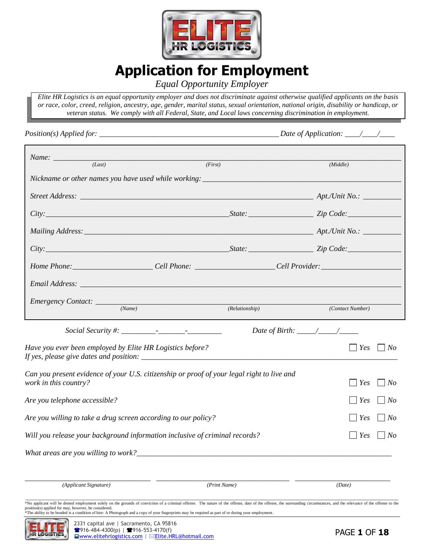

# **Application for Employment**

# *Equal Opportunity Employer*

*Elite HR Logistics is an equal opportunity employer and does not discriminate against otherwise qualified applicants on the basis or race, color, creed, religion, ancestry, age, gender, marital status, sexual orientation, national origin, disability or handicap, or veteran status. We comply with all Federal, State, and Local laws concerning discrimination in employment.*

*Position(s) Applied for: \_\_\_\_\_\_\_\_\_\_\_\_\_\_\_\_\_\_\_\_\_\_\_\_\_\_\_\_\_\_\_\_\_\_\_\_\_\_\_\_\_\_\_\_\_\_\_ Date of Application: \_\_\_\_/\_\_\_\_/\_\_\_\_*

| (Last)                                                                                                              |        | (First)                     | (Middle)                                                                                                       |
|---------------------------------------------------------------------------------------------------------------------|--------|-----------------------------|----------------------------------------------------------------------------------------------------------------|
|                                                                                                                     |        |                             |                                                                                                                |
|                                                                                                                     |        |                             |                                                                                                                |
|                                                                                                                     |        |                             | $City:$ $\_\_\_\_\_$ $Zip Code:$ $\_\_\_\_$                                                                    |
|                                                                                                                     |        |                             |                                                                                                                |
| $City:$ $City:$ $Zip Code:$                                                                                         |        |                             |                                                                                                                |
|                                                                                                                     |        |                             | Home Phone: _______________________Cell Phone: __________________Cell Provider: ______________________________ |
|                                                                                                                     |        |                             |                                                                                                                |
|                                                                                                                     | (Name) | $\overline{(Relationship)}$ | (Contact Number)                                                                                               |
|                                                                                                                     |        |                             | Date of Birth: $\frac{\sqrt{2}}{2}$                                                                            |
| Have you ever been employed by Elite HR Logistics before?                                                           |        |                             | $\Box$ Yes<br>$\vert$ $\vert$ No                                                                               |
| Can you present evidence of your U.S. citizenship or proof of your legal right to live and<br>work in this country? |        |                             | Yes<br>$\overline{N}$                                                                                          |
| Are you telephone accessible?                                                                                       |        |                             | $\Box$ No<br>$\Box$ Yes                                                                                        |
| Are you willing to take a drug screen according to our policy?                                                      |        |                             | $\overline{N}$<br>Yes                                                                                          |
| Will you release your background information inclusive of criminal records?                                         |        |                             | $\overline{N}$<br>Yes                                                                                          |
| What areas are you willing to work?                                                                                 |        |                             |                                                                                                                |
|                                                                                                                     |        |                             | (Date)                                                                                                         |

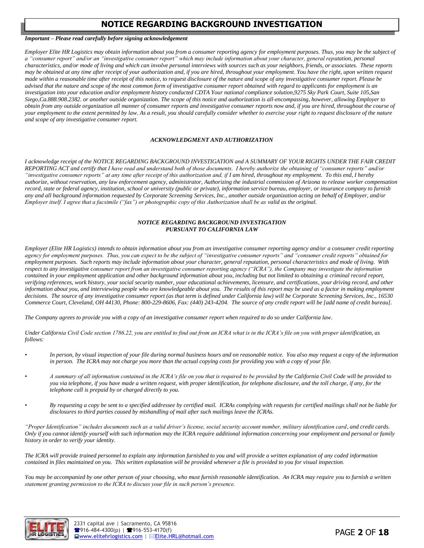### **NOTICE REGARDING BACKGROUND INVESTIGATION**

#### *Important – Please read carefully before signing acknowledgement*

*Employer Elite HR Logistics may obtain information about you from a consumer reporting agency for employment purposes. Thus, you may be the subject of a "consumer report" and/or an "investigative consumer report" which may include information about your character, general reputation, personal characteristics, and/or mode of living and which can involve personal interviews with sources such as your neighbors, friends, or associates. These reports may be obtained at any time after receipt of your authorization and, if you are hired, throughout your employment. You have the right, upon written request made within a reasonable time after receipt of this notice, to request disclosure of the nature and scope of any investigative consumer report. Please be advised that the nature and scope of the most common form of investigative consumer report obtained with regard to applicants for employment is an investigation into your education and/or employment history conducted CDTA Your national compliance solution,9275 Sky Park Court, Suite 105,San Siego,Ca.888.908.2382. or another outside organization. The scope of this notice and authorization is all-encompassing, however, allowing Employer to obtain from any outside organization all manner of consumer reports and investigative consumer reports now and, if you are hired, throughout the course of your employment to the extent permitted by law. As a result, you should carefully consider whether to exercise your right to request disclosure of the nature and scope of any investigative consumer report.*

#### *ACKNOWLEDGMENT AND AUTHORIZATION*

*I acknowledge receipt of the NOTICE REGARDING BACKGROUND INVESTIGATION and A SUMMARY OF YOUR RIGHTS UNDER THE FAIR CREDIT REPORTING ACT and certify that I have read and understand both of those documents. I hereby authorize the obtaining of "consumer reports" and/or "investigative consumer reports" at any time after receipt of this authorization and, if I am hired, throughout my employment. To this end, I hereby authorize, without reservation, any law enforcement agency, administrator, Authorizing the industrial commission of Arizona to release worker compensation record, state or federal agency, institution, school or university (public or private), information service bureau, employer, or insurance company to furnish any and all background information requested by Corporate Screening Services, Inc., another outside organization acting on behalf of Employer, and/or Employer itself. I agree that a facsimile ("fax") or photographic copy of this Authorization shall be as valid as the original.*

#### *NOTICE REGARDING BACKGROUND INVESTIGATION PURSUANT TO CALIFORNIA LAW*

*Employer (Elite HR Logistics) intends to obtain information about you from an investigative consumer reporting agency and/or a consumer credit reporting agency for employment purposes. Thus, you can expect to be the subject of "investigative consumer reports" and "consumer credit reports" obtained for employment purposes. Such reports may include information about your character, general reputation, personal characteristics and mode of living. With respect to any investigative consumer report from an investigative consumer reporting agency ("ICRA"), the Company may investigate the information contained in your employment application and other background information about you, including but not limited to obtaining a criminal record report, verifying references, work history, your social security number, your educational achievements, licensure, and certifications, your driving record, and other information about you, and interviewing people who are knowledgeable about you. The results of this report may be used as a factor in making employment decisions. The source of any investigative consumer report (as that term is defined under California law) will be Corporate Screening Services, Inc., 16530 Commerce Court, Cleveland, OH 44130, Phone: 800-229-8606, Fax: (440) 243-4204. The source of any credit report will be [add name of credit bureau].*

*The Company agrees to provide you with a copy of an investigative consumer report when required to do so under California law.*

*Under California Civil Code section 1786.22, you are entitled to find out from an ICRA what is in the ICRA's file on you with proper identification, as follows:* 

- *In person, by visual inspection of your file during normal business hours and on reasonable notice. You also may request a copy of the information in person. The ICRA may not charge you more than the actual copying costs for providing you with a copy of your file.*
- *A summary of all information contained in the ICRA's file on you that is required to be provided by the California Civil Code will be provided to*  you via telephone, if you have made a written request, with proper identification, for telephone disclosure, and the toll charge, if any, for the *telephone call is prepaid by or charged directly to you.*
- *By requesting a copy be sent to a specified addressee by certified mail. ICRAs complying with requests for certified mailings shall not be liable for disclosures to third parties caused by mishandling of mail after such mailings leave the ICRAs.*

*"Proper Identification" includes documents such as a valid driver's license, social security account number, military identification card, and credit cards. Only if you cannot identify yourself with such information may the ICRA require additional information concerning your employment and personal or family history in order to verify your identity.* 

*The ICRA will provide trained personnel to explain any information furnished to you and will provide a written explanation of any coded information contained in files maintained on you. This written explanation will be provided whenever a file is provided to you for visual inspection.* 

*You may be accompanied by one other person of your choosing, who must furnish reasonable identification. An ICRA may require you to furnish a written statement granting permission to the ICRA to discuss your file in such person's presence.*

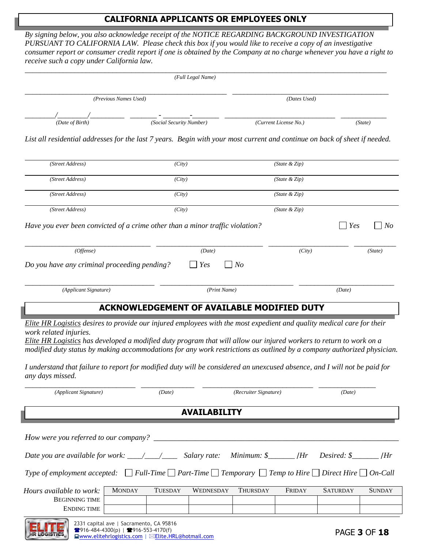#### **CALIFORNIA APPLICANTS OR EMPLOYEES ONLY**

*By signing below, you also acknowledge receipt of the NOTICE REGARDING BACKGROUND INVESTIGATION PURSUANT TO CALIFORNIA LAW. Please check this box if you would like to receive a copy of an investigative consumer report or consumer credit report if one is obtained by the Company at no charge whenever you have a right to receive such a copy under California law.*

| (Previous Names Used)<br>(Date of Birth)                                                                                                                                                                                                                                                                                                                                                                                                                                                                                                           |                                            |                     |              |                       |                       |                 |               |
|----------------------------------------------------------------------------------------------------------------------------------------------------------------------------------------------------------------------------------------------------------------------------------------------------------------------------------------------------------------------------------------------------------------------------------------------------------------------------------------------------------------------------------------------------|--------------------------------------------|---------------------|--------------|-----------------------|-----------------------|-----------------|---------------|
|                                                                                                                                                                                                                                                                                                                                                                                                                                                                                                                                                    |                                            |                     |              |                       | (Dates Used)          |                 |               |
|                                                                                                                                                                                                                                                                                                                                                                                                                                                                                                                                                    |                                            |                     |              |                       |                       |                 |               |
|                                                                                                                                                                                                                                                                                                                                                                                                                                                                                                                                                    | (Social Security Number)                   |                     |              |                       | (Current License No.) |                 | (State)       |
| List all residential addresses for the last 7 years. Begin with your most current and continue on back of sheet if needed.                                                                                                                                                                                                                                                                                                                                                                                                                         |                                            |                     |              |                       |                       |                 |               |
| (Street Address)                                                                                                                                                                                                                                                                                                                                                                                                                                                                                                                                   | (City)                                     |                     |              |                       | (State & Zip)         |                 |               |
| (Street Address)                                                                                                                                                                                                                                                                                                                                                                                                                                                                                                                                   | (City)                                     |                     |              |                       | (State $\&$ Zip)      |                 |               |
| (Street Address)                                                                                                                                                                                                                                                                                                                                                                                                                                                                                                                                   | (City)                                     |                     |              |                       | (State $\&$ Zip)      |                 |               |
| (Street Address)                                                                                                                                                                                                                                                                                                                                                                                                                                                                                                                                   | (City)                                     |                     |              |                       | (State & Zip)         |                 |               |
| Have you ever been convicted of a crime other than a minor traffic violation?                                                                                                                                                                                                                                                                                                                                                                                                                                                                      |                                            |                     |              |                       |                       | Yes             | No            |
| (Offense)                                                                                                                                                                                                                                                                                                                                                                                                                                                                                                                                          |                                            | (Date)              |              |                       | (City)                |                 | (State)       |
| Do you have any criminal proceeding pending?                                                                                                                                                                                                                                                                                                                                                                                                                                                                                                       |                                            | Yes                 | $\perp$ No   |                       |                       |                 |               |
| (Applicant Signature)                                                                                                                                                                                                                                                                                                                                                                                                                                                                                                                              |                                            |                     | (Print Name) |                       |                       | (Date)          |               |
|                                                                                                                                                                                                                                                                                                                                                                                                                                                                                                                                                    | ACKNOWLEDGEMENT OF AVAILABLE MODIFIED DUTY |                     |              |                       |                       |                 |               |
| Elite HR Logistics desires to provide our injured employees with the most expedient and quality medical care for their<br>work related injuries.<br>Elite HR Logistics has developed a modified duty program that will allow our injured workers to return to work on a<br>modified duty status by making accommodations for any work restrictions as outlined by a company authorized physician.<br>I understand that failure to report for modified duty will be considered an unexcused absence, and I will not be paid for<br>any days missed. |                                            |                     |              |                       |                       |                 |               |
| (Applicant Signature)                                                                                                                                                                                                                                                                                                                                                                                                                                                                                                                              | (Date)                                     |                     |              | (Recruiter Signature) |                       | (Date)          |               |
|                                                                                                                                                                                                                                                                                                                                                                                                                                                                                                                                                    |                                            | <b>AVAILABILITY</b> |              |                       |                       |                 |               |
|                                                                                                                                                                                                                                                                                                                                                                                                                                                                                                                                                    |                                            |                     |              |                       |                       |                 |               |
| Date you are available for work: $\frac{1}{\sqrt{1-\frac{1}{n}}}$ Salary rate: Minimum: \$ $\frac{1}{\sqrt{1-\frac{1}{n}}}$ Desired: \$ $\frac{1}{\sqrt{1-\frac{1}{n}}}$  Hr                                                                                                                                                                                                                                                                                                                                                                       |                                            |                     |              |                       |                       |                 |               |
| Type of employment accepted: $\Box$ Full-Time $\Box$ Part-Time $\Box$ Temporary $\Box$ Temp to Hire $\Box$ Direct Hire $\Box$ On-Call                                                                                                                                                                                                                                                                                                                                                                                                              |                                            |                     |              |                       |                       |                 |               |
|                                                                                                                                                                                                                                                                                                                                                                                                                                                                                                                                                    |                                            |                     |              |                       |                       |                 |               |
| <b>MONDAY</b><br>Hours available to work:                                                                                                                                                                                                                                                                                                                                                                                                                                                                                                          | <b>TUESDAY</b>                             | WEDNESDAY           |              | THURSDAY              | FRIDAY                | <b>SATURDAY</b> | <b>SUNDAY</b> |

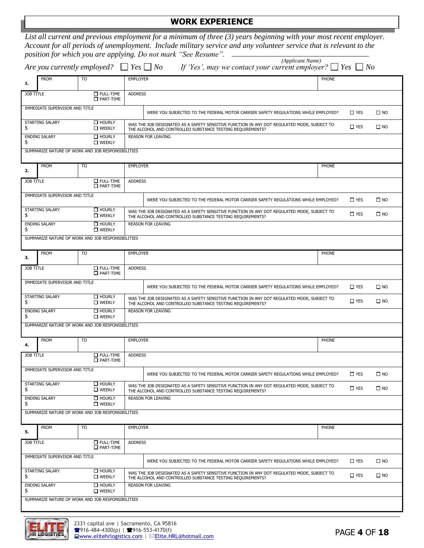#### **WORK EXPERIENCE**

*List all current and previous employment for a minimum of three (3) years beginning with your most recent employer. Account for all periods of unemployment. Include military service and any volunteer service that is relevant to the position for which you are applying. Do not mark "See Resume". \_\_\_\_\_\_\_\_\_\_\_\_\_\_\_\_\_\_\_\_\_\_\_\_\_\_\_\_\_\_\_\_\_\_\_\_*

|                  |                                | Are you currently employed? $\Box$ Yes $\Box$ No  |                 | position for which you are applying. Do not mark see hesume<br>(Applicant Name)<br>If 'Yes', may we contact your current employer? $\Box$ Yes             |       | $\overline{N}$ |              |
|------------------|--------------------------------|---------------------------------------------------|-----------------|-----------------------------------------------------------------------------------------------------------------------------------------------------------|-------|----------------|--------------|
| 1.               | <b>FROM</b>                    | TO                                                | <b>EMPLOYER</b> |                                                                                                                                                           | PHONE |                |              |
| <b>JOB TITLE</b> |                                | <b>T</b> FULL-TIME<br>$\square$ PART-TIME         | <b>ADDRESS</b>  |                                                                                                                                                           |       |                |              |
|                  | IMMEDIATE SUPERVISOR AND TITLE |                                                   |                 | WERE YOU SUBJECTED TO THE FEDERAL MOTOR CARRIER SAFETY REGULATIONS WHILE EMPLOYED?                                                                        |       | $\Box$ YES     | $\square$ NO |
| \$               | STARTING SALARY                | <b>NOURLY</b><br><b>NEEKLY</b>                    |                 | WAS THE JOB DESIGNATED AS A SAFETY SENSITIVE FUNCTION IN ANY DOT REGULATED MODE, SUBJECT TO<br>THE ALCOHOL AND CONTROLLED SUBSTANCE TESTING REQUIREMENTS? |       | $\Box$ YES     | $\square$ NO |
| \$               | <b>ENDING SALARY</b>           | <b>NOURLY</b><br>$\square$ WEEKLY                 |                 | <b>REASON FOR LEAVING</b>                                                                                                                                 |       |                |              |
|                  |                                | SUMMARIZE NATURE OF WORK AND JOB RESPONSIBILITIES |                 |                                                                                                                                                           |       |                |              |
| 2.               | <b>FROM</b>                    | <b>TO</b>                                         | <b>EMPLOYER</b> |                                                                                                                                                           | PHONE |                |              |
| <b>JOB TITLE</b> |                                | $\Box$ FULL-TIME<br>$\Box$ PART-TIME              | <b>ADDRESS</b>  |                                                                                                                                                           |       |                |              |
|                  | IMMEDIATE SUPERVISOR AND TITLE |                                                   |                 | WERE YOU SUBJECTED TO THE FEDERAL MOTOR CARRIER SAFETY REGULATIONS WHILE EMPLOYED?                                                                        |       | $\Box$ YES     | $\square$ NO |
| \$               | STARTING SALARY                | <b>NOURLY</b><br>$\square$ WEEKLY                 |                 | WAS THE JOB DESIGNATED AS A SAFETY SENSITIVE FUNCTION IN ANY DOT REGULATED MODE, SUBJECT TO<br>THE ALCOHOL AND CONTROLLED SUBSTANCE TESTING REQUIREMENTS? |       | $\Box$ YES     | $\square$ NO |
| \$               | <b>ENDING SALARY</b>           | <b>NOURLY</b><br><b>NEEKLY</b>                    |                 | <b>REASON FOR LEAVING</b>                                                                                                                                 |       |                |              |
|                  |                                | SUMMARIZE NATURE OF WORK AND JOB RESPONSIBILITIES |                 |                                                                                                                                                           |       |                |              |
| З.               | <b>FROM</b>                    | <b>TO</b>                                         | <b>EMPLOYER</b> |                                                                                                                                                           | PHONE |                |              |
| JOB TITLE        |                                | <b>T</b> FULL-TIME<br>PART-TIME                   | <b>ADDRESS</b>  |                                                                                                                                                           |       |                |              |
|                  | IMMEDIATE SUPERVISOR AND TITLE |                                                   |                 | WERE YOU SUBJECTED TO THE FEDERAL MOTOR CARRIER SAFETY REGULATIONS WHILE EMPLOYED?                                                                        |       | $\Box$ YES     | $\square$ NO |
| \$               | STARTING SALARY                | $\Box$ HOURLY<br><b>NEEKLY</b>                    |                 | WAS THE JOB DESIGNATED AS A SAFETY SENSITIVE FUNCTION IN ANY DOT REGULATED MODE, SUBJECT TO<br>THE ALCOHOL AND CONTROLLED SUBSTANCE TESTING REQUIREMENTS? |       | $\Box$ YES     | $\square$ NO |
| \$               | <b>ENDING SALARY</b>           | $\square$ HOURLY<br><b>NEEKLY</b>                 |                 | <b>REASON FOR LEAVING</b>                                                                                                                                 |       |                |              |
|                  |                                | SUMMARIZE NATURE OF WORK AND JOB RESPONSIBILITIES |                 |                                                                                                                                                           |       |                |              |
| 4.               | <b>FROM</b>                    | <b>TO</b>                                         | <b>EMPLOYER</b> |                                                                                                                                                           | PHONE |                |              |
| <b>JOB TITLE</b> |                                | $\Box$ FULL-TIME<br><b>D</b> PART-TIME            | <b>ADDRESS</b>  |                                                                                                                                                           |       |                |              |
|                  | IMMEDIATE SUPERVISOR AND TITLE |                                                   |                 | WERE YOU SUBJECTED TO THE FEDERAL MOTOR CARRIER SAFETY REGULATIONS WHILE EMPLOYED?                                                                        |       | $\square$ YES  | $\square$ NO |
| \$               | STARTING SALARY                | $\Box$ HOURLY<br><b>NEEKLY</b>                    |                 | WAS THE JOB DESIGNATED AS A SAFETY SENSITIVE FUNCTION IN ANY DOT REGULATED MODE, SUBJECT TO<br>THE ALCOHOL AND CONTROLLED SUBSTANCE TESTING REQUIREMENTS? |       | $\square$ YES  | $\square$ NO |
| \$               | <b>ENDING SALARY</b>           | $\Box$ HOURLY<br>$\square$ WEEKLY                 |                 | <b>REASON FOR LEAVING</b>                                                                                                                                 |       |                |              |
|                  |                                | SUMMARIZE NATURE OF WORK AND JOB RESPONSIBILITIES |                 |                                                                                                                                                           |       |                |              |
| 5.               | <b>FROM</b>                    | <b>TO</b>                                         | <b>EMPLOYER</b> |                                                                                                                                                           | PHONE |                |              |
| JOB TITLE        |                                | <b>T</b> FULL-TIME<br>$\square$ PART-TIME         | <b>ADDRESS</b>  |                                                                                                                                                           |       |                |              |
|                  | IMMEDIATE SUPERVISOR AND TITLE |                                                   |                 | WERE YOU SUBJECTED TO THE FEDERAL MOTOR CARRIER SAFETY REGULATIONS WHILE EMPLOYED?                                                                        |       | $\square$ YES  | $\square$ NO |
| \$               | STARTING SALARY                | $\Box$ HOURLY<br>$\square$ WEEKLY                 |                 | WAS THE JOB DESIGNATED AS A SAFETY SENSITIVE FUNCTION IN ANY DOT REGULATED MODE, SUBJECT TO<br>THE ALCOHOL AND CONTROLLED SUBSTANCE TESTING REQUIREMENTS? |       | $\square$ YES  | $\square$ NO |
| \$               | <b>ENDING SALARY</b>           | <b>NOURLY</b><br>$\square$ WEEKLY                 |                 | <b>REASON FOR LEAVING</b>                                                                                                                                 |       |                |              |
|                  |                                | SUMMARIZE NATURE OF WORK AND JOB RESPONSIBILITIES |                 |                                                                                                                                                           |       |                |              |

**HR LOGISTICS**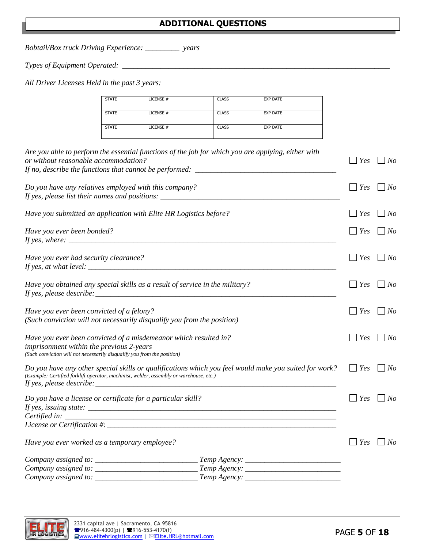#### **ADDITIONAL QUESTIONS**

*Bobtail/Box truck Driving Experience: \_\_\_\_\_\_\_\_\_ years*

*Types of Equipment Operated: \_\_\_\_\_\_\_\_\_\_\_\_\_\_\_\_\_\_\_\_\_\_\_\_\_\_\_\_\_\_\_\_\_\_\_\_\_\_\_\_\_\_\_\_\_\_\_\_\_\_\_\_\_\_\_\_\_\_\_\_\_\_\_\_\_\_\_\_\_\_*

*All Driver Licenses Held in the past 3 years:*

|              | LICENSE #                                  | <b>CLASS</b>                                                                                                                                                                                                                                                                                       | <b>EXP DATE</b>                                                                                                                                                                                                                                                                                                                                                                                                                     |                                                                                                                                                                                                                                                                                                                                                            |                                                                                                                                       |
|--------------|--------------------------------------------|----------------------------------------------------------------------------------------------------------------------------------------------------------------------------------------------------------------------------------------------------------------------------------------------------|-------------------------------------------------------------------------------------------------------------------------------------------------------------------------------------------------------------------------------------------------------------------------------------------------------------------------------------------------------------------------------------------------------------------------------------|------------------------------------------------------------------------------------------------------------------------------------------------------------------------------------------------------------------------------------------------------------------------------------------------------------------------------------------------------------|---------------------------------------------------------------------------------------------------------------------------------------|
| <b>STATE</b> | LICENSE #                                  | <b>CLASS</b>                                                                                                                                                                                                                                                                                       | <b>EXP DATE</b>                                                                                                                                                                                                                                                                                                                                                                                                                     |                                                                                                                                                                                                                                                                                                                                                            |                                                                                                                                       |
|              |                                            |                                                                                                                                                                                                                                                                                                    |                                                                                                                                                                                                                                                                                                                                                                                                                                     | $\Box$ Yes                                                                                                                                                                                                                                                                                                                                                 | $\Box$ No                                                                                                                             |
|              |                                            |                                                                                                                                                                                                                                                                                                    |                                                                                                                                                                                                                                                                                                                                                                                                                                     | $\Box$ Yes                                                                                                                                                                                                                                                                                                                                                 | $\Box$ No                                                                                                                             |
|              |                                            |                                                                                                                                                                                                                                                                                                    |                                                                                                                                                                                                                                                                                                                                                                                                                                     | $\Box$ Yes                                                                                                                                                                                                                                                                                                                                                 | $\Box$ No                                                                                                                             |
|              |                                            |                                                                                                                                                                                                                                                                                                    |                                                                                                                                                                                                                                                                                                                                                                                                                                     | $\Box$ Yes                                                                                                                                                                                                                                                                                                                                                 | $\Box$ No                                                                                                                             |
|              |                                            |                                                                                                                                                                                                                                                                                                    |                                                                                                                                                                                                                                                                                                                                                                                                                                     | $\Box$ Yes                                                                                                                                                                                                                                                                                                                                                 | $\Box$ No                                                                                                                             |
|              |                                            |                                                                                                                                                                                                                                                                                                    |                                                                                                                                                                                                                                                                                                                                                                                                                                     | $\Box$ Yes                                                                                                                                                                                                                                                                                                                                                 | $\Box$ No                                                                                                                             |
|              |                                            |                                                                                                                                                                                                                                                                                                    |                                                                                                                                                                                                                                                                                                                                                                                                                                     | $\Box$ Yes                                                                                                                                                                                                                                                                                                                                                 | $\Box$ No                                                                                                                             |
|              |                                            |                                                                                                                                                                                                                                                                                                    |                                                                                                                                                                                                                                                                                                                                                                                                                                     | $\Box$ Yes                                                                                                                                                                                                                                                                                                                                                 | $\Box$ No                                                                                                                             |
|              |                                            |                                                                                                                                                                                                                                                                                                    |                                                                                                                                                                                                                                                                                                                                                                                                                                     | $\Box$ Yes                                                                                                                                                                                                                                                                                                                                                 | $\Box$ No                                                                                                                             |
|              |                                            |                                                                                                                                                                                                                                                                                                    |                                                                                                                                                                                                                                                                                                                                                                                                                                     | Yes                                                                                                                                                                                                                                                                                                                                                        | $\Box$ No                                                                                                                             |
|              |                                            |                                                                                                                                                                                                                                                                                                    |                                                                                                                                                                                                                                                                                                                                                                                                                                     |                                                                                                                                                                                                                                                                                                                                                            |                                                                                                                                       |
|              |                                            |                                                                                                                                                                                                                                                                                                    |                                                                                                                                                                                                                                                                                                                                                                                                                                     |                                                                                                                                                                                                                                                                                                                                                            | $\Box$ Yes $\Box$ No                                                                                                                  |
|              |                                            |                                                                                                                                                                                                                                                                                                    |                                                                                                                                                                                                                                                                                                                                                                                                                                     |                                                                                                                                                                                                                                                                                                                                                            |                                                                                                                                       |
|              | <b>STATE</b><br>Have you ever been bonded? | or without reasonable accommodation?<br>Have you ever had security clearance?<br>Have you ever been convicted of a felony?<br>imprisonment within the previous 2-years<br>(Such conviction will not necessarily disqualify you from the position)<br>Have you ever worked as a temporary employee? | Do you have any relatives employed with this company?<br>Have you submitted an application with Elite HR Logistics before?<br>(Such conviction will not necessarily disqualify you from the position)<br>Have you ever been convicted of a misdemeanor which resulted in?<br>(Example: Certified forklift operator, machinist, welder, assembly or warehouse, etc.)<br>Do you have a license or certificate for a particular skill? | Are you able to perform the essential functions of the job for which you are applying, either with<br>If no, describe the functions that cannot be performed: ________________________<br>If yes, please list their names and positions: _________________________________<br>Have you obtained any special skills as a result of service in the military? | Do you have any other special skills or qualifications which you feel would make you suited for work?<br>$Company\, assigned\ to: \_$ |

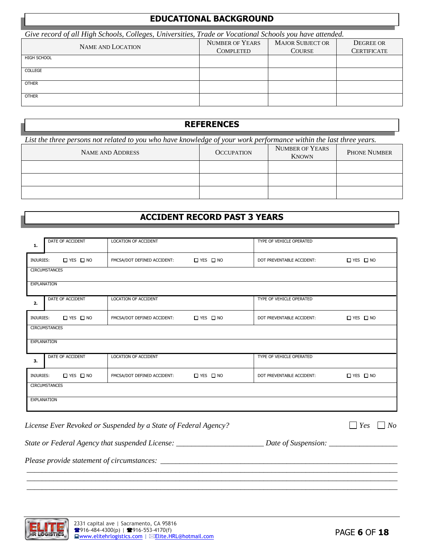### **EDUCATIONAL BACKGROUND**

| Give record of all High Schools, Colleges, Universities, Trade or Vocational Schools you have attended. |                         |                    |  |  |  |
|---------------------------------------------------------------------------------------------------------|-------------------------|--------------------|--|--|--|
| NUMBER OF YEARS                                                                                         | <b>MAJOR SUBJECT OR</b> | DEGREE OR          |  |  |  |
|                                                                                                         |                         | <b>CERTIFICATE</b> |  |  |  |
|                                                                                                         |                         |                    |  |  |  |
|                                                                                                         |                         |                    |  |  |  |
|                                                                                                         |                         |                    |  |  |  |
|                                                                                                         |                         |                    |  |  |  |
|                                                                                                         | <b>COMPLETED</b>        | <b>COURSE</b>      |  |  |  |

# **REFERENCES**

*List the three persons not related to you who have knowledge of your work performance within the last three years.*

| <b>NAME AND ADDRESS</b> | <b>OCCUPATION</b> | <b>NUMBER OF YEARS</b><br><b>KNOWN</b> | PHONE NUMBER |
|-------------------------|-------------------|----------------------------------------|--------------|
|                         |                   |                                        |              |
|                         |                   |                                        |              |
|                         |                   |                                        |              |

## **ACCIDENT RECORD PAST 3 YEARS**

|                  | DATE OF ACCIDENT     | LOCATION OF ACCIDENT        |                      | TYPE OF VEHICLE OPERATED  |                      |  |  |  |  |
|------------------|----------------------|-----------------------------|----------------------|---------------------------|----------------------|--|--|--|--|
| 1.               |                      |                             |                      |                           |                      |  |  |  |  |
| <b>INJURIES:</b> | $\Box$ YES $\Box$ NO | FMCSA/DOT DEFINED ACCIDENT: | $\Box$ YES $\Box$ NO | DOT PREVENTABLE ACCIDENT: | $\Box$ YES $\Box$ NO |  |  |  |  |
|                  | <b>CIRCUMSTANCES</b> |                             |                      |                           |                      |  |  |  |  |
|                  | <b>EXPLANATION</b>   |                             |                      |                           |                      |  |  |  |  |
| 2.               | DATE OF ACCIDENT     | LOCATION OF ACCIDENT        |                      | TYPE OF VEHICLE OPERATED  |                      |  |  |  |  |
| <b>INJURIES:</b> | $\Box$ YES $\Box$ NO | FMCSA/DOT DEFINED ACCIDENT: | $\Box$ YES $\Box$ NO | DOT PREVENTABLE ACCIDENT: | $\Box$ YES $\Box$ NO |  |  |  |  |
|                  | <b>CIRCUMSTANCES</b> |                             |                      |                           |                      |  |  |  |  |
|                  | <b>EXPLANATION</b>   |                             |                      |                           |                      |  |  |  |  |
| 3.               | DATE OF ACCIDENT     | LOCATION OF ACCIDENT        |                      | TYPE OF VEHICLE OPERATED  |                      |  |  |  |  |
| INJURIES:        | $\Box$ YES $\Box$ NO | FMCSA/DOT DEFINED ACCIDENT: | $\Box$ YES $\Box$ NO | DOT PREVENTABLE ACCIDENT: | $\Box$ YES $\Box$ NO |  |  |  |  |
|                  | <b>CIRCUMSTANCES</b> |                             |                      |                           |                      |  |  |  |  |
|                  | EXPLANATION          |                             |                      |                           |                      |  |  |  |  |

*\_\_\_\_\_\_\_\_\_\_\_\_\_\_\_\_\_\_\_\_\_\_\_\_\_\_\_\_\_\_\_\_\_\_\_\_\_\_\_\_\_\_\_\_\_\_\_\_\_\_\_\_\_\_\_\_\_\_\_\_\_\_\_\_\_\_\_\_\_\_\_\_\_\_\_\_\_\_\_\_\_\_\_\_\_\_\_\_\_\_\_\_\_\_\_\_\_ \_\_\_\_\_\_\_\_\_\_\_\_\_\_\_\_\_\_\_\_\_\_\_\_\_\_\_\_\_\_\_\_\_\_\_\_\_\_\_\_\_\_\_\_\_\_\_\_\_\_\_\_\_\_\_\_\_\_\_\_\_\_\_\_\_\_\_\_\_\_\_\_\_\_\_\_\_\_\_\_\_\_\_\_\_\_\_\_\_\_\_\_\_\_\_\_\_ \_\_\_\_\_\_\_\_\_\_\_\_\_\_\_\_\_\_\_\_\_\_\_\_\_\_\_\_\_\_\_\_\_\_\_\_\_\_\_\_\_\_\_\_\_\_\_\_\_\_\_\_\_\_\_\_\_\_\_\_\_\_\_\_\_\_\_\_\_\_\_\_\_\_\_\_\_\_\_\_\_\_\_\_\_\_\_\_\_\_\_\_\_\_\_\_\_*

*License Ever Revoked or Suspended by a State of Federal Agency? Yes No*

*State or Federal Agency that suspended License: \_\_\_\_\_\_\_\_\_\_\_\_\_\_\_\_\_\_\_\_\_\_\_ Date of Suspension: \_\_\_\_\_\_\_\_\_\_\_\_\_\_\_\_\_\_*

*Please provide statement of circumstances: \_\_\_\_\_\_\_\_\_\_\_\_\_\_\_\_\_\_\_\_\_\_\_\_\_\_\_\_\_\_\_\_\_\_\_\_\_\_\_\_\_\_\_\_\_\_\_\_\_\_\_\_\_\_\_\_\_\_\_\_\_\_*

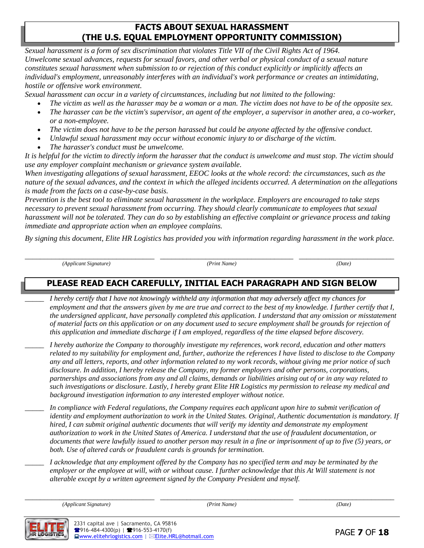#### **FACTS ABOUT SEXUAL HARASSMENT (THE U.S. EQUAL EMPLOYMENT OPPORTUNITY COMMISSION)**

*Sexual harassment is a form of sex discrimination that violates [Title VII of the Civil Rights Act of 1964.](http://www.eeoc.gov/policy/vii.html) Unwelcome sexual advances, requests for sexual favors, and other verbal or physical conduct of a sexual nature constitutes sexual harassment when submission to or rejection of this conduct explicitly or implicitly affects an individual's employment, unreasonably interferes with an individual's work performance or creates an intimidating, hostile or offensive work environment.*

*Sexual harassment can occur in a variety of circumstances, including but not limited to the following:*

- *The victim as well as the harasser may be a woman or a man. The victim does not have to be of the opposite sex.*
- *The harasser can be the victim's supervisor, an agent of the employer, a supervisor in another area, a co-worker, or a non-employee.*
- *The victim does not have to be the person harassed but could be anyone affected by the offensive conduct.*
- *Unlawful sexual harassment may occur without economic injury to or discharge of the victim.*
- *The harasser's conduct must be unwelcome.*

*It is helpful for the victim to directly inform the harasser that the conduct is unwelcome and must stop. The victim should use any employer complaint mechanism or grievance system available.*

*When investigating allegations of sexual harassment, EEOC looks at the whole record: the circumstances, such as the nature of the sexual advances, and the context in which the alleged incidents occurred. A determination on the allegations is made from the facts on a case-by-case basis.*

*Prevention is the best tool to eliminate sexual harassment in the workplace. Employers are encouraged to take steps necessary to prevent sexual harassment from occurring. They should clearly communicate to employees that sexual harassment will not be tolerated. They can do so by establishing an effective complaint or grievance process and taking immediate and appropriate action when an employee complains.*

*By signing this document, Elite HR Logistics has provided you with information regarding harassment in the work place.*

*\_\_\_\_\_\_\_\_\_\_\_\_\_\_\_\_\_\_\_\_\_\_\_\_\_\_\_\_\_\_\_\_\_\_ \_\_\_\_\_\_\_\_\_\_\_\_\_\_\_\_\_\_\_\_\_\_\_\_\_\_\_\_\_\_\_\_\_\_\_ \_\_\_\_\_\_\_\_\_\_\_\_\_\_\_\_\_\_\_\_\_\_\_\_\_ (Applicant Signature) (Print Name) (Date)*

# **PLEASE READ EACH CAREFULLY, INITIAL EACH PARAGRAPH AND SIGN BELOW**

*\_\_\_\_\_ I hereby certify that I have not knowingly withheld any information that may adversely affect my chances for employment and that the answers given by me are true and correct to the best of my knowledge. I further certify that I, the undersigned applicant, have personally completed this application. I understand that any omission or misstatement of material facts on this application or on any document used to secure employment shall be grounds for rejection of this application and immediate discharge if I am employed, regardless of the time elapsed before discovery.*

*\_\_\_\_\_ I hereby authorize the Company to thoroughly investigate my references, work record, education and other matters related to my suitability for employment and, further, authorize the references I have listed to disclose to the Company any and all letters, reports, and other information related to my work records, without giving me prior notice of such disclosure. In addition, I hereby release the Company, my former employers and other persons, corporations, partnerships and associations from any and all claims, demands or liabilities arising out of or in any way related to such investigations or disclosure. Lastly, I hereby grant Elite HR Logistics my permission to release my medical and background investigation information to any interested employer without notice.*

- *\_\_\_\_\_ In compliance with Federal regulations, the Company requires each applicant upon hire to submit verification of identity and employment authorization to work in the United States. Original, Authentic documentation is mandatory. If hired, I can submit original authentic documents that will verify my identity and demonstrate my employment authorization to work in the United States of America. I understand that the use of fraudulent documentation, or documents that were lawfully issued to another person may result in a fine or imprisonment of up to five (5) years, or both. Use of altered cards or fraudulent cards is grounds for termination.*
	- *\_\_\_\_\_ I acknowledge that any employment offered by the Company has no specified term and may be terminated by the employer or the employee at will, with or without cause. I further acknowledge that this At Will statement is not alterable except by a written agreement signed by the Company President and myself.*